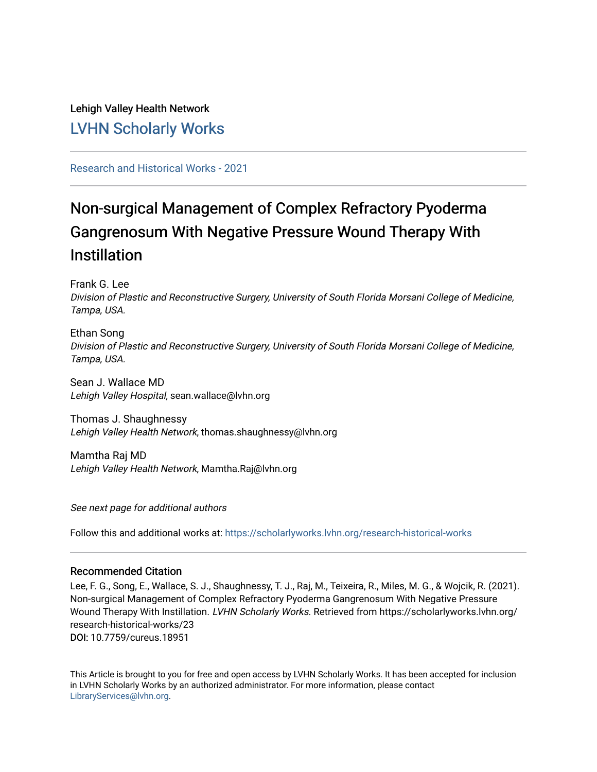# Lehigh Valley Health Network [LVHN Scholarly Works](https://scholarlyworks.lvhn.org/)

## [Research and Historical Works - 2021](https://scholarlyworks.lvhn.org/research-historical-works)

# Non-surgical Management of Complex Refractory Pyoderma Gangrenosum With Negative Pressure Wound Therapy With Instillation

Frank G. Lee

Division of Plastic and Reconstructive Surgery, University of South Florida Morsani College of Medicine, Tampa, USA.

Ethan Song Division of Plastic and Reconstructive Surgery, University of South Florida Morsani College of Medicine, Tampa, USA.

Sean J. Wallace MD Lehigh Valley Hospital, sean.wallace@lvhn.org

Thomas J. Shaughnessy Lehigh Valley Health Network, thomas.shaughnessy@lvhn.org

Mamtha Raj MD Lehigh Valley Health Network, Mamtha.Raj@lvhn.org

See next page for additional authors

Follow this and additional works at: [https://scholarlyworks.lvhn.org/research-historical-works](https://scholarlyworks.lvhn.org/research-historical-works?utm_source=scholarlyworks.lvhn.org%2Fresearch-historical-works%2F23&utm_medium=PDF&utm_campaign=PDFCoverPages)

### Recommended Citation

Lee, F. G., Song, E., Wallace, S. J., Shaughnessy, T. J., Raj, M., Teixeira, R., Miles, M. G., & Wojcik, R. (2021). Non-surgical Management of Complex Refractory Pyoderma Gangrenosum With Negative Pressure Wound Therapy With Instillation. LVHN Scholarly Works. Retrieved from https://scholarlyworks.lvhn.org/ research-historical-works/23 DOI: 10.7759/cureus.18951

This Article is brought to you for free and open access by LVHN Scholarly Works. It has been accepted for inclusion in LVHN Scholarly Works by an authorized administrator. For more information, please contact [LibraryServices@lvhn.org](mailto:LibraryServices@lvhn.org).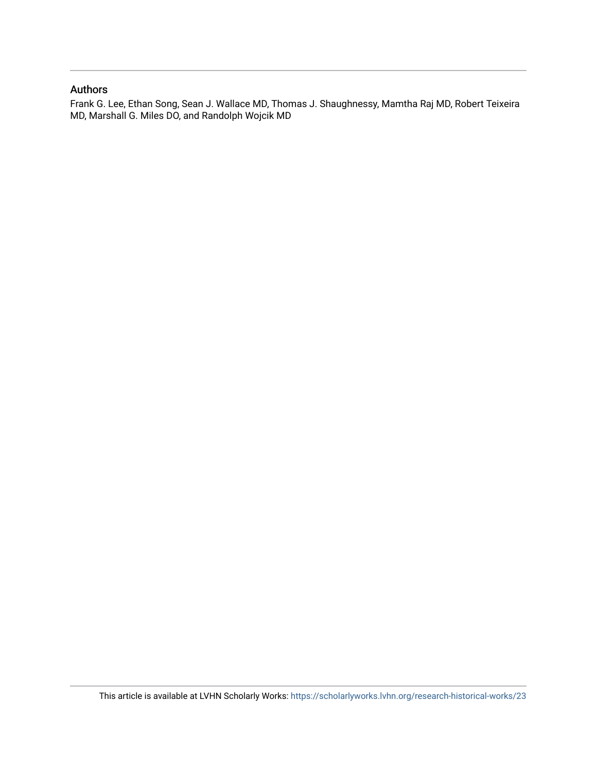#### Authors

Frank G. Lee, Ethan Song, Sean J. Wallace MD, Thomas J. Shaughnessy, Mamtha Raj MD, Robert Teixeira MD, Marshall G. Miles DO, and Randolph Wojcik MD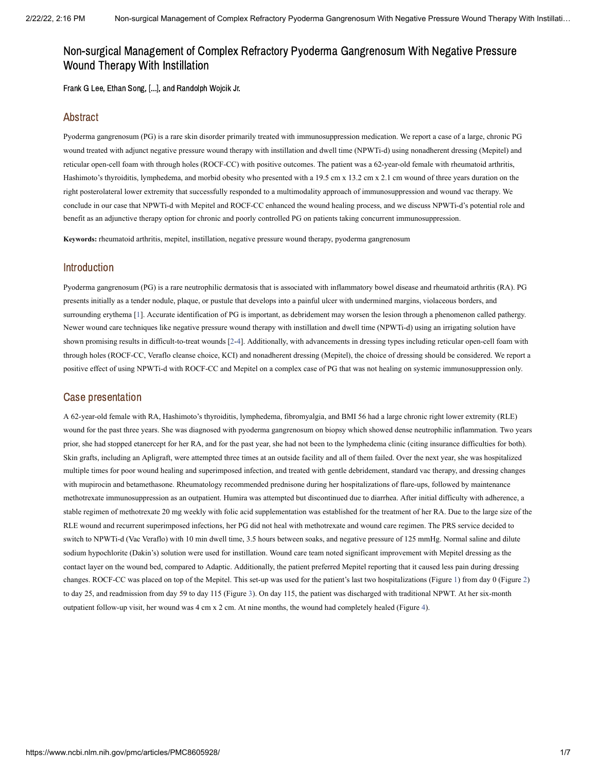## Non-surgical Management of Complex Refractory Pyoderma Gangrenosum With Negative Pressure Wound Therapy With Instillation

Frank G Lee, Ethan Song, [...], and Randolph Wojcik Jr.

#### Abstract

Pyoderma gangrenosum (PG) is a rare skin disorder primarily treated with immunosuppression medication. We report a case of a large, chronic PG wound treated with adjunct negative pressure wound therapy with instillation and dwell time (NPWTi-d) using nonadherent dressing (Mepitel) and reticular open-cell foam with through holes (ROCF-CC) with positive outcomes. The patient was a 62-year-old female with rheumatoid arthritis, Hashimoto's thyroiditis, lymphedema, and morbid obesity who presented with a 19.5 cm x 13.2 cm x 2.1 cm wound of three years duration on the right posterolateral lower extremity that successfully responded to a multimodality approach of immunosuppression and wound vac therapy. We conclude in our case that NPWTi-d with Mepitel and ROCF-CC enhanced the wound healing process, and we discuss NPWTi-d's potential role and benefit as an adjunctive therapy option for chronic and poorly controlled PG on patients taking concurrent immunosuppression.

**Keywords:** rheumatoid arthritis, mepitel, instillation, negative pressure wound therapy, pyoderma gangrenosum

#### Introduction

Pyoderma gangrenosum (PG) is a rare neutrophilic dermatosis that is associated with inflammatory bowel disease and rheumatoid arthritis (RA). PG presents initially as a tender nodule, plaque, or pustule that develops into a painful ulcer with undermined margins, violaceous borders, and surrounding erythema [\[1](#page-7-0)]. Accurate identification of PG is important, as debridement may worsen the lesion through a phenomenon called pathergy. Newer wound care techniques like negative pressure wound therapy with instillation and dwell time (NPWTi-d) using an irrigating solution have shown promising results in difficult-to-treat wounds [\[2](#page-7-1)-[4\]](#page-8-0). Additionally, with advancements in dressing types including reticular open-cell foam with through holes (ROCF-CC, Veraflo cleanse choice, KCI) and nonadherent dressing (Mepitel), the choice of dressing should be considered. We report a positive effect of using NPWTi-d with ROCF-CC and Mepitel on a complex case of PG that was not healing on systemic immunosuppression only.

#### Case presentation

A 62-year-old female with RA, Hashimoto's thyroiditis, lymphedema, fibromyalgia, and BMI 56 had a large chronic right lower extremity (RLE) wound for the past three years. She was diagnosed with pyoderma gangrenosum on biopsy which showed dense neutrophilic inflammation. Two years prior, she had stopped etanercept for her RA, and for the past year, she had not been to the lymphedema clinic (citing insurance difficulties for both). Skin grafts, including an Apligraft, were attempted three times at an outside facility and all of them failed. Over the next year, she was hospitalized multiple times for poor wound healing and superimposed infection, and treated with gentle debridement, standard vac therapy, and dressing changes with mupirocin and betamethasone. Rheumatology recommended prednisone during her hospitalizations of flare-ups, followed by maintenance methotrexate immunosuppression as an outpatient. Humira was attempted but discontinued due to diarrhea. After initial difficulty with adherence, a stable regimen of methotrexate 20 mg weekly with folic acid supplementation was established for the treatment of her RA. Due to the large size of the RLE wound and recurrent superimposed infections, her PG did not heal with methotrexate and wound care regimen. The PRS service decided to switch to NPWTi-d (Vac Veraflo) with 10 min dwell time, 3.5 hours between soaks, and negative pressure of 125 mmHg. Normal saline and dilute sodium hypochlorite (Dakin's) solution were used for instillation. Wound care team noted significant improvement with Mepitel dressing as the contact layer on the wound bed, compared to Adaptic. Additionally, the patient preferred Mepitel reporting that it caused less pain during dressing changes. ROCF-CC was placed on top of the Mepitel. This set-up was used for the patient's last two hospitalizations [\(Figure](https://www.ncbi.nlm.nih.gov/pmc/articles/PMC8605928/figure/FIG1/?report=objectonly) 1) from day 0 [\(Figure](https://www.ncbi.nlm.nih.gov/pmc/articles/PMC8605928/figure/FIG2/?report=objectonly) 2) to day 25, and readmission from day 59 to day 115 [\(Figure](https://www.ncbi.nlm.nih.gov/pmc/articles/PMC8605928/figure/FIG3/?report=objectonly) 3). On day 115, the patient was discharged with traditional NPWT. At her six-month outpatient follow-up visit, her wound was 4 cm x 2 cm. At nine months, the wound had completely healed [\(Figure](https://www.ncbi.nlm.nih.gov/pmc/articles/PMC8605928/figure/FIG4/?report=objectonly) 4).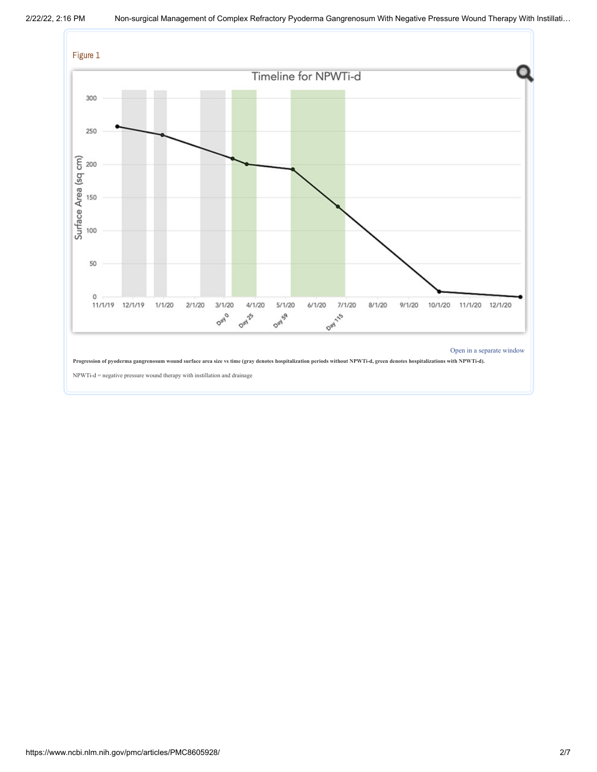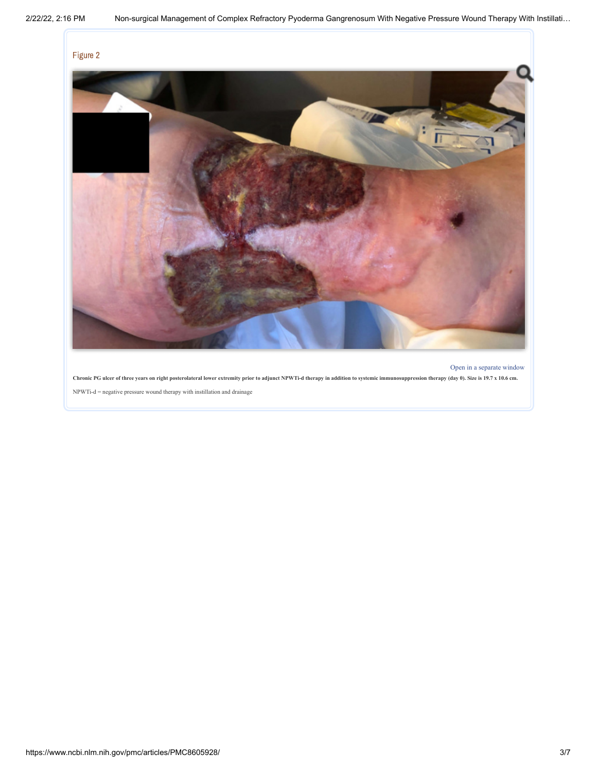

Chronic PG ulcer of three years on right posterolateral lower extremity prior to adjunct NPWTi-d therapy in addition to systemic immunosuppression therapy (day 0). Size is 19.7 x 10.6 cm.  $\mathit{NPWTi-d} = \mathit{negative}$  pressure wound therapy with instillation and drainage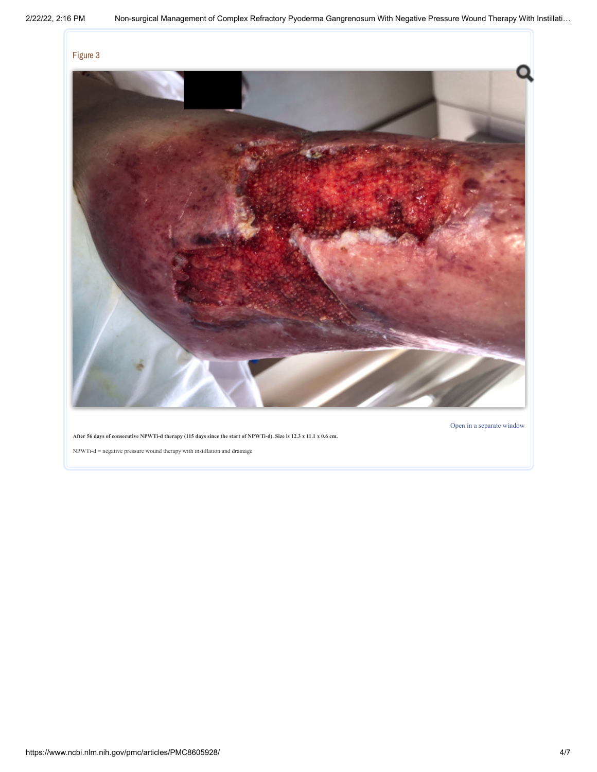

Open in a [separate](https://www.ncbi.nlm.nih.gov/pmc/articles/PMC8605928/figure/FIG3/?report=objectonly) window

After 56 days of consecutive NPWTi-d therapy (115 days since the start of NPWTi-d). Size is 12.3 x 11.1 x 0.6 cm.

 $\mathit{NPWTi-d} = \mathit{negative}$  pressure wound therapy with instillation and drainage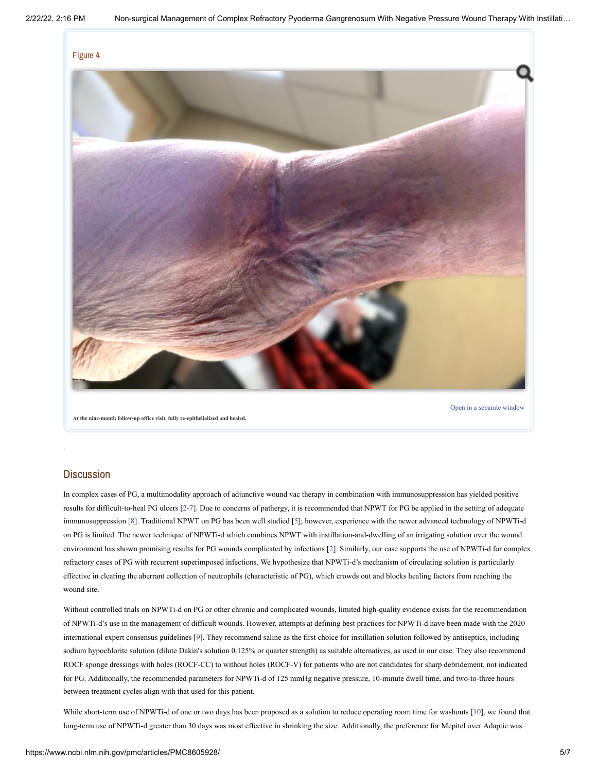

**At the nine-month follow-up office visit, fully re-epithelialized and healed.**

#### **Discussion**

.

In complex cases of PG, a multimodality approach of adjunctive wound vac therapy in combination with immunosuppression has yielded positive results for difficult-to-heal PG ulcers [[2-](#page-7-1)[7](#page-8-1)]. Due to concerns of pathergy, it is recommended that NPWT for PG be applied in the setting of adequate immunosuppression [\[8](#page-8-2)]. Traditional NPWT on PG has been well studied [[5\]](#page-8-3); however, experience with the newer advanced technology of NPWTi-d on PG is limited. The newer technique of NPWTi-d which combines NPWT with instillation-and-dwelling of an irrigating solution over the wound environment has shown promising results for PG wounds complicated by infections [[2\]](#page-7-1). Similarly, our case supports the use of NPWTi-d for complex refractory cases of PG with recurrent superimposed infections. We hypothesize that NPWTi-d's mechanism of circulating solution is particularly effective in clearing the aberrant collection of neutrophils (characteristic of PG), which crowds out and blocks healing factors from reaching the wound site.

Without controlled trials on NPWTi-d on PG or other chronic and complicated wounds, limited high-quality evidence exists for the recommendation of NPWTi-d's use in the management of difficult wounds. However, attempts at defining best practices for NPWTi-d have been made with the 2020 international expert consensus guidelines [[9](#page-8-4)]. They recommend saline as the first choice for instillation solution followed by antiseptics, including sodium hypochlorite solution (dilute Dakin's solution 0.125% or quarter strength) as suitable alternatives, as used in our case. They also recommend ROCF sponge dressings with holes (ROCF-CC) to without holes (ROCF-V) for patients who are not candidates for sharp debridement, not indicated for PG. Additionally, the recommended parameters for NPWTi-d of 125 mmHg negative pressure, 10-minute dwell time, and two-to-three hours between treatment cycles align with that used for this patient.

While short-term use of NPWTi-d of one or two days has been proposed as a solution to reduce operating room time for washouts [[10](#page-8-5)], we found that long-term use of NPWTi-d greater than 30 days was most effective in shrinking the size. Additionally, the preference for Mepitel over Adaptic was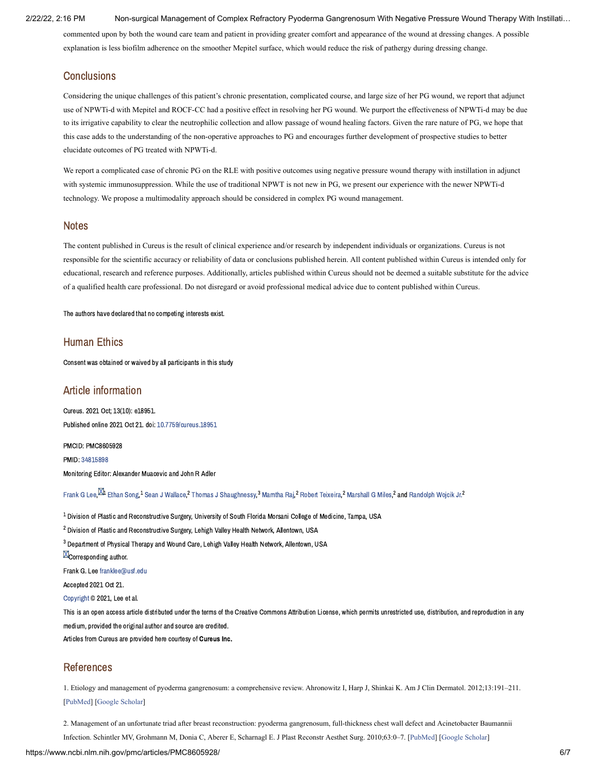2/22/22, 2:16 PM Non-surgical Management of Complex Refractory Pyoderma Gangrenosum With Negative Pressure Wound Therapy With Instillati…

commented upon by both the wound care team and patient in providing greater comfort and appearance of the wound at dressing changes. A possible explanation is less biofilm adherence on the smoother Mepitel surface, which would reduce the risk of pathergy during dressing change.

#### **Conclusions**

Considering the unique challenges of this patient's chronic presentation, complicated course, and large size of her PG wound, we report that adjunct use of NPWTi-d with Mepitel and ROCF-CC had a positive effect in resolving her PG wound. We purport the effectiveness of NPWTi-d may be due to its irrigative capability to clear the neutrophilic collection and allow passage of wound healing factors. Given the rare nature of PG, we hope that this case adds to the understanding of the non-operative approaches to PG and encourages further development of prospective studies to better elucidate outcomes of PG treated with NPWTi-d.

We report a complicated case of chronic PG on the RLE with positive outcomes using negative pressure wound therapy with instillation in adjunct with systemic immunosuppression. While the use of traditional NPWT is not new in PG, we present our experience with the newer NPWTi-d technology. We propose a multimodality approach should be considered in complex PG wound management.

#### **Notes**

The content published in Cureus is the result of clinical experience and/or research by independent individuals or organizations. Cureus is not responsible for the scientific accuracy or reliability of data or conclusions published herein. All content published within Cureus is intended only for educational, research and reference purposes. Additionally, articles published within Cureus should not be deemed a suitable substitute for the advice of a qualified health care professional. Do not disregard or avoid professional medical advice due to content published within Cureus.

The authors have declared that no competing interests exist.

#### Human Ethics

Consent was obtained or waived by all participants in this study

#### Article information

Cureus. 2021 Oct; 13(10): e18951. Published online 2021 Oct 21. doi: [10.7759/cureus.18951](https://dx.doi.org/10.7759%2Fcureus.18951)

PMCID: PMC8605928 PMID: [34815898](https://www.ncbi.nlm.nih.gov/pubmed/34815898) Monitoring Editor: Alexander Muacevic and John R Adler

[Frank](https://www.ncbi.nlm.nih.gov/pubmed/?term=Lee%20FG%5BAuthor%5D&cauthor=true&cauthor_uid=34815898) G Lee  $^\text{KL}$  [Ethan](https://www.ncbi.nlm.nih.gov/pubmed/?term=Song%20E%5BAuthor%5D&cauthor=true&cauthor_uid=34815898) Song. $^1$  Sean J Wallace. $^2$  Thomas J Shaughnessy. $^3$  [Mamtha](https://www.ncbi.nlm.nih.gov/pubmed/?term=Raj%20M%5BAuthor%5D&cauthor=true&cauthor_uid=34815898) Rai. $^2$  Robert Teixeira. $^2$  [Marshall](https://www.ncbi.nlm.nih.gov/pubmed/?term=Miles%20MG%5BAuthor%5D&cauthor=true&cauthor_uid=34815898) G Miles. $^2$  and [Randolph](https://www.ncbi.nlm.nih.gov/pubmed/?term=Wojcik%20Jr.%20R%5BAuthor%5D&cauthor=true&cauthor_uid=34815898) Woicik Jr. $^2$ 

 $^{\text{1}}$  Division of Plastic and Reconstructive Surgery, University of South Florida Morsani College of Medicine, Tampa, USA

 $^2$  Division of Plastic and Reconstructive Surgery, Lehigh Valley Health Network, Allentown, USA

 $^3$  Department of Physical Therapy and Wound Care, Lehigh Valley Health Network, Allentown, USA

**M**Corresponding author.

Frank G. Lee [franklee@usf.edu](mailto:dev@null)

Accepted 2021 Oct 21.

[Copyright](https://www.ncbi.nlm.nih.gov/pmc/about/copyright/) © 2021, Lee et al.

This is an open access article distributed under the terms of the Creative Commons Attribution License, which permits unrestricted use, distribution, and reproduction in any medium, provided the original author and source are credited.

Articles from Cureus are provided here courtesy of Cureus Inc.

#### References

<span id="page-7-0"></span>1. Etiology and management of pyoderma gangrenosum: a comprehensive review. Ahronowitz I, Harp J, Shinkai K. Am J Clin Dermatol. 2012;13:191–211. [\[PubMed\]](https://www.ncbi.nlm.nih.gov/pubmed/22356259) [[Google Scholar\]](https://scholar.google.com/scholar_lookup?journal=Am+J+Clin+Dermatol&title=Etiology+and+management+of+pyoderma+gangrenosum:+a+comprehensive+review&volume=13&publication_year=2012&pages=191-211&pmid=22356259&)

<span id="page-7-1"></span>2. Management of an unfortunate triad after breast reconstruction: pyoderma gangrenosum, full-thickness chest wall defect and Acinetobacter Baumannii

Infection. Schintler MV, Grohmann M, Donia C, Aberer E, Scharnagl E. J Plast Reconstr Aesthet Surg. 2010;63:0–7. [\[PubMed](https://www.ncbi.nlm.nih.gov/pubmed/20153277)] [[Google Scholar\]](https://scholar.google.com/scholar_lookup?journal=J+Plast+Reconstr+Aesthet+Surg&title=Management+of+an+unfortunate+triad+after+breast+reconstruction:+pyoderma+gangrenosum,+full-thickness+chest+wall+defect+and+Acinetobacter+Baumannii+Infection&volume=63&publication_year=2010&pages=0-7&)